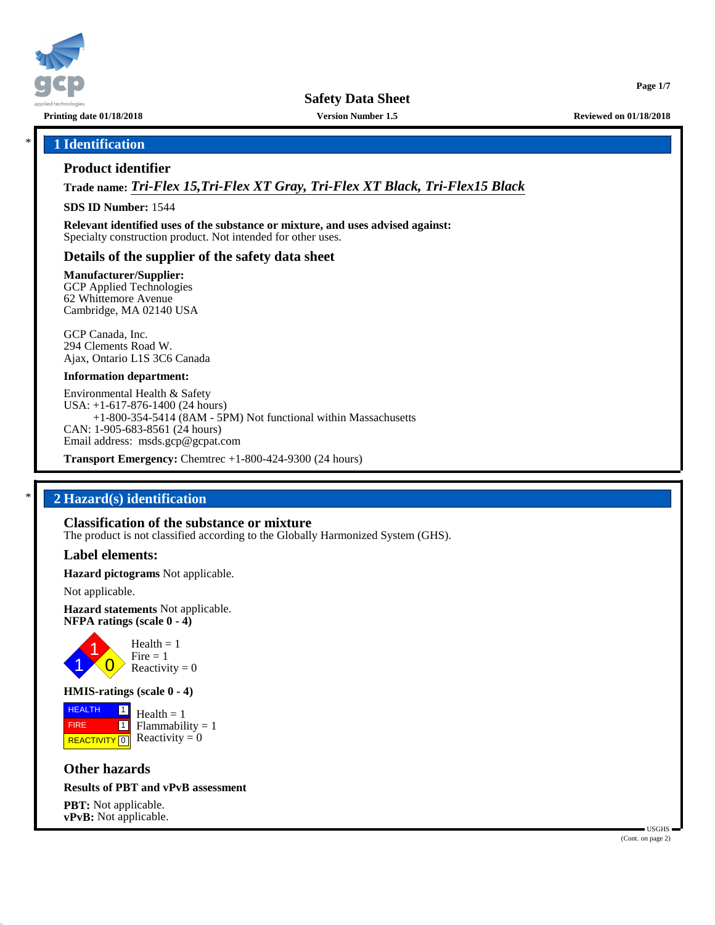

**Safety Data Sheet**

**Printing date 01/18/2018 Version Number 1.5 Reviewed on 01/18/2018**

**Page 1/7**

# \* **1 Identification**

#### **Product identifier**

**Trade name:** *Tri-Flex 15,Tri-Flex XT Gray, Tri-Flex XT Black, Tri-Flex15 Black*

**SDS ID Number:** 1544

**Relevant identified uses of the substance or mixture, and uses advised against:** Specialty construction product. Not intended for other uses.

#### **Details of the supplier of the safety data sheet**

**Manufacturer/Supplier:**

GCP Applied Technologies 62 Whittemore Avenue Cambridge, MA 02140 USA

GCP Canada, Inc. 294 Clements Road W. Ajax, Ontario L1S 3C6 Canada

#### **Information department:**

Environmental Health & Safety USA: +1-617-876-1400 (24 hours) +1-800-354-5414 (8AM - 5PM) Not functional within Massachusetts CAN: 1-905-683-8561 (24 hours) Email address: msds.gcp@gcpat.com

**Transport Emergency:** Chemtrec +1-800-424-9300 (24 hours)

# \* **2 Hazard(s) identification**

#### **Classification of the substance or mixture**

The product is not classified according to the Globally Harmonized System (GHS).

#### **Label elements:**

**Hazard pictograms** Not applicable.

Not applicable.

**Hazard statements** Not applicable. **NFPA ratings (scale 0 - 4)**



## **HMIS-ratings (scale 0 - 4)**

**HEALTH**  FIRE **REACTIVITY** 0 |1|  $\boxed{1}$  $Health = 1$  $Flammability = 1$ Reactivity  $= 0$ 

**Other hazards**

#### **Results of PBT and vPvB assessment**

**PBT:** Not applicable. **vPvB:** Not applicable.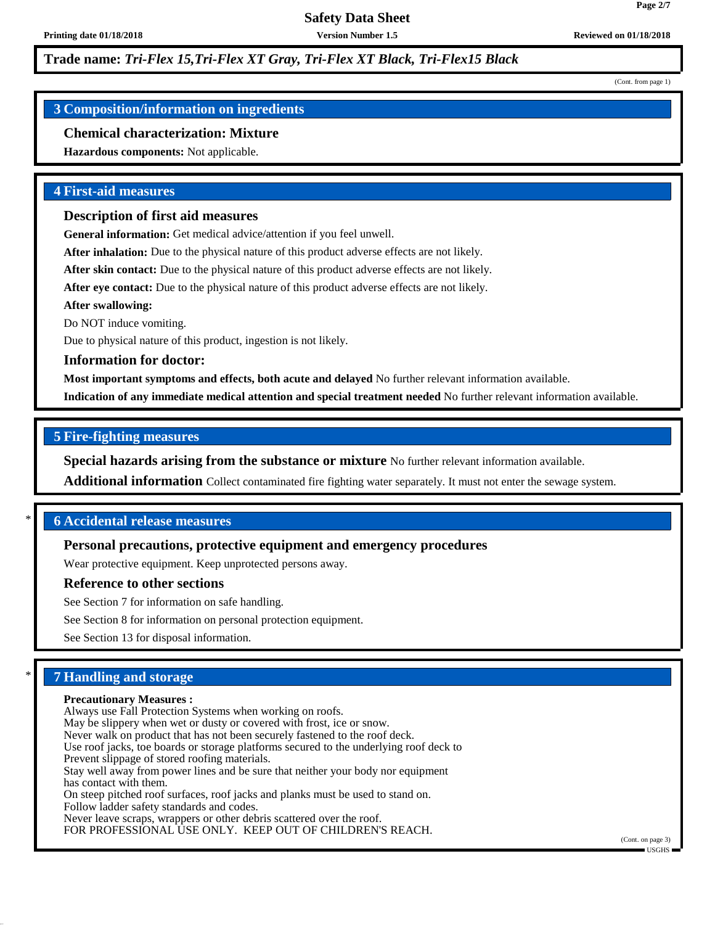# **Trade name:** *Tri-Flex 15,Tri-Flex XT Gray, Tri-Flex XT Black, Tri-Flex15 Black*

#### (Cont. from page 1)

**Page 2/7**

# **3 Composition/information on ingredients**

#### **Chemical characterization: Mixture**

**Hazardous components:** Not applicable.

#### **4 First-aid measures**

#### **Description of first aid measures**

**General information:** Get medical advice/attention if you feel unwell.

**After inhalation:** Due to the physical nature of this product adverse effects are not likely.

After skin contact: Due to the physical nature of this product adverse effects are not likely.

**After eye contact:** Due to the physical nature of this product adverse effects are not likely.

**After swallowing:**

Do NOT induce vomiting.

Due to physical nature of this product, ingestion is not likely.

#### **Information for doctor:**

**Most important symptoms and effects, both acute and delayed** No further relevant information available.

**Indication of any immediate medical attention and special treatment needed** No further relevant information available.

# **5 Fire-fighting measures**

**Special hazards arising from the substance or mixture** No further relevant information available.

**Additional information** Collect contaminated fire fighting water separately. It must not enter the sewage system.

# \* **6 Accidental release measures**

## **Personal precautions, protective equipment and emergency procedures**

Wear protective equipment. Keep unprotected persons away.

#### **Reference to other sections**

See Section 7 for information on safe handling.

See Section 8 for information on personal protection equipment.

See Section 13 for disposal information.

## \* **7 Handling and storage**

#### **Precautionary Measures :**

Always use Fall Protection Systems when working on roofs. May be slippery when wet or dusty or covered with frost, ice or snow. Never walk on product that has not been securely fastened to the roof deck. Use roof jacks, toe boards or storage platforms secured to the underlying roof deck to Prevent slippage of stored roofing materials. Stay well away from power lines and be sure that neither your body nor equipment has contact with them. On steep pitched roof surfaces, roof jacks and planks must be used to stand on. Follow ladder safety standards and codes. Never leave scraps, wrappers or other debris scattered over the roof.

FOR PROFESSIONAL USE ONLY. KEEP OUT OF CHILDREN'S REACH.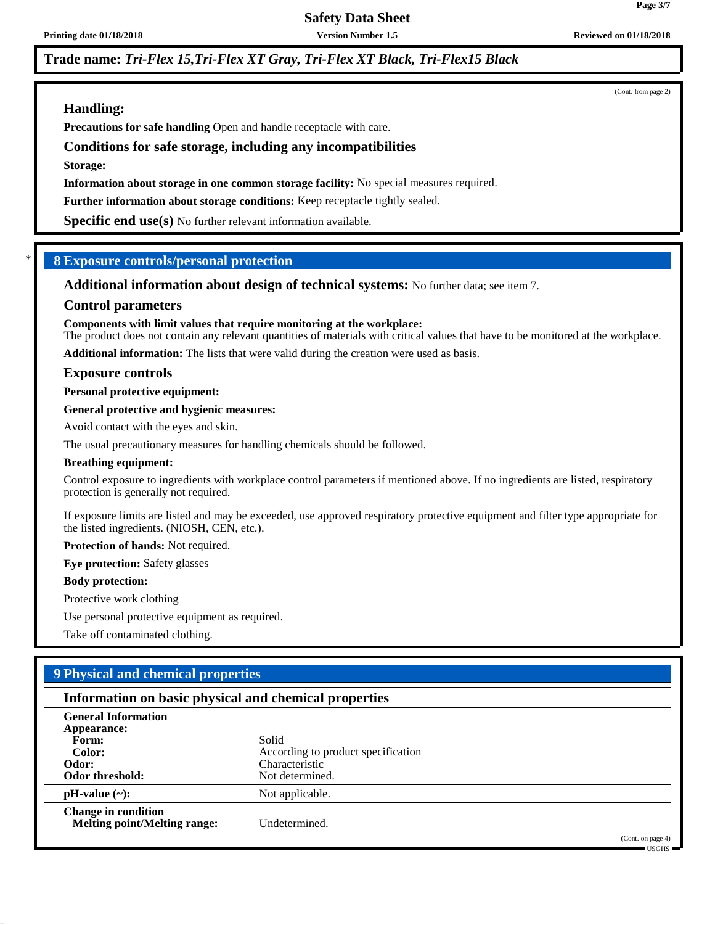# **Safety Data Sheet**

#### **Printing date 01/18/2018 Version Number 1.5 Reviewed on 01/18/2018**

# **Trade name:** *Tri-Flex 15,Tri-Flex XT Gray, Tri-Flex XT Black, Tri-Flex15 Black*

# **Handling:**

**Precautions for safe handling** Open and handle receptacle with care.

# **Conditions for safe storage, including any incompatibilities**

**Storage:**

**Information about storage in one common storage facility:** No special measures required.

**Further information about storage conditions:** Keep receptacle tightly sealed.

**Specific end use(s)** No further relevant information available.

# \* **8 Exposure controls/personal protection**

**Additional information about design of technical systems:** No further data; see item 7.

### **Control parameters**

#### **Components with limit values that require monitoring at the workplace:**

The product does not contain any relevant quantities of materials with critical values that have to be monitored at the workplace.

**Additional information:** The lists that were valid during the creation were used as basis.

#### **Exposure controls**

#### **Personal protective equipment:**

#### **General protective and hygienic measures:**

Avoid contact with the eyes and skin.

The usual precautionary measures for handling chemicals should be followed.

#### **Breathing equipment:**

Control exposure to ingredients with workplace control parameters if mentioned above. If no ingredients are listed, respiratory protection is generally not required.

If exposure limits are listed and may be exceeded, use approved respiratory protective equipment and filter type appropriate for the listed ingredients. (NIOSH, CEN, etc.).

**Protection of hands:** Not required.

**Eye protection:** Safety glasses

#### **Body protection:**

Protective work clothing

Use personal protective equipment as required.

Take off contaminated clothing.

# **9 Physical and chemical properties**

## **Information on basic physical and chemical properties**

| <b>General Information</b>          |                                    |
|-------------------------------------|------------------------------------|
| Appearance:                         |                                    |
| Form:                               | Solid                              |
| Color:                              | According to product specification |
| Odor:                               | Characteristic                     |
| Odor threshold:                     | Not determined.                    |
| $pH-value$ (~):                     | Not applicable.                    |
| <b>Change in condition</b>          |                                    |
| <b>Melting point/Melting range:</b> | Undetermined.                      |
|                                     | (0.000)                            |

on page 4) USGHS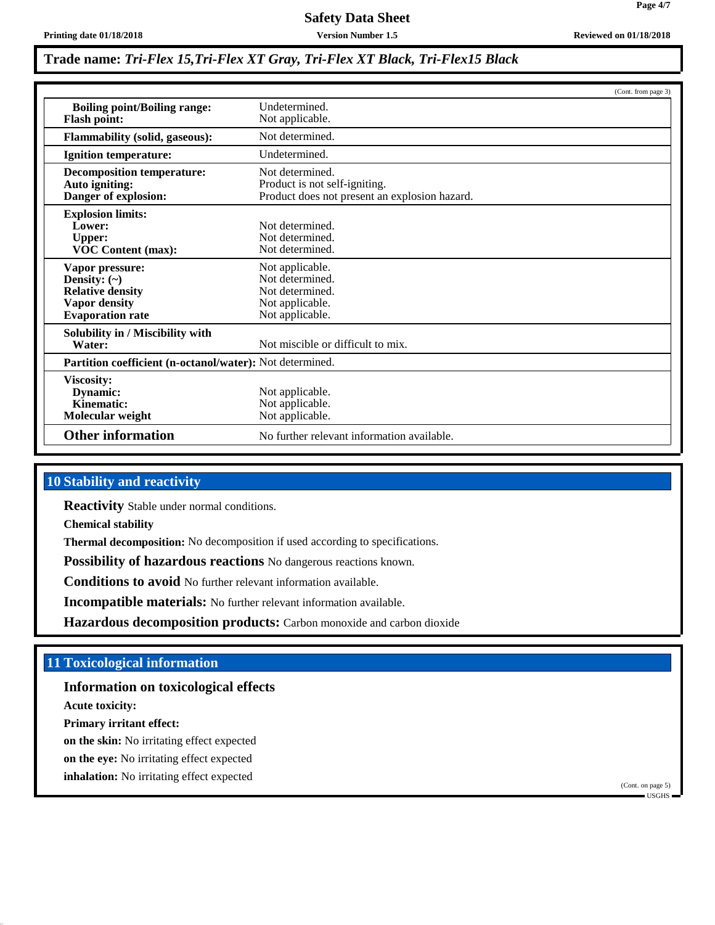# **Safety Data Sheet**

# **Trade name:** *Tri-Flex 15,Tri-Flex XT Gray, Tri-Flex XT Black, Tri-Flex15 Black*

|                                       | (Cont. from page 3)                                      |  |
|---------------------------------------|----------------------------------------------------------|--|
| <b>Boiling point/Boiling range:</b>   | Undetermined.                                            |  |
| <b>Flash point:</b>                   | Not applicable.                                          |  |
| <b>Flammability (solid, gaseous):</b> | Not determined.                                          |  |
| <b>Ignition temperature:</b>          | Undetermined.                                            |  |
| <b>Decomposition temperature:</b>     | Not determined.                                          |  |
| Auto igniting:                        | Product is not self-igniting.                            |  |
| Danger of explosion:                  | Product does not present an explosion hazard.            |  |
| <b>Explosion limits:</b>              |                                                          |  |
| Lower:                                | Not determined.                                          |  |
| <b>Upper:</b>                         | Not determined.                                          |  |
| <b>VOC Content (max):</b>             | Not determined.                                          |  |
| Vapor pressure:                       | Not applicable.                                          |  |
| Density: $(\sim)$                     | Not determined.                                          |  |
| <b>Relative density</b>               | Not determined.                                          |  |
| <b>Vapor density</b>                  | Not applicable.                                          |  |
| <b>Evaporation</b> rate               | Not applicable.                                          |  |
| Solubility in / Miscibility with      |                                                          |  |
| Water:                                | Not miscible or difficult to mix.                        |  |
|                                       | Partition coefficient (n-octanol/water): Not determined. |  |
| Viscosity:                            |                                                          |  |
| Dynamic:                              | Not applicable.                                          |  |
| Kinematic:                            | Not applicable.                                          |  |
| Molecular weight                      | Not applicable.                                          |  |
| <b>Other information</b>              | No further relevant information available.               |  |

# **10 Stability and reactivity**

**Reactivity** Stable under normal conditions.

**Chemical stability**

**Thermal decomposition:** No decomposition if used according to specifications.

**Possibility of hazardous reactions** No dangerous reactions known.

**Conditions to avoid** No further relevant information available.

**Incompatible materials:** No further relevant information available.

**Hazardous decomposition products:** Carbon monoxide and carbon dioxide

# **11 Toxicological information**

**Information on toxicological effects**

**Acute toxicity:**

**Primary irritant effect:**

**on the skin:** No irritating effect expected

**on the eye:** No irritating effect expected

**inhalation:** No irritating effect expected

(Cont. on page 5) USGHS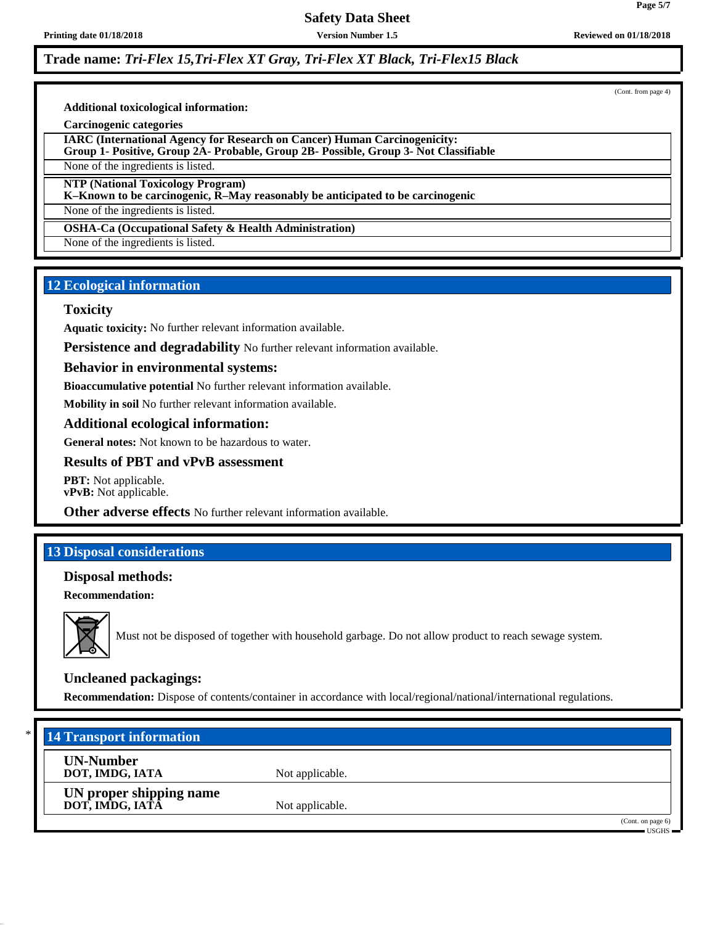## **Printing date 01/18/2018 Version Number 1.5 Reviewed on 01/18/2018**

**Trade name:** *Tri-Flex 15,Tri-Flex XT Gray, Tri-Flex XT Black, Tri-Flex15 Black*

(Cont. from page 4)

**Additional toxicological information:**

**Carcinogenic categories**

**IARC (International Agency for Research on Cancer) Human Carcinogenicity:**

**Group 1- Positive, Group 2A- Probable, Group 2B- Possible, Group 3- Not Classifiable**

None of the ingredients is listed.

**NTP (National Toxicology Program)**

**K–Known to be carcinogenic, R–May reasonably be anticipated to be carcinogenic**

None of the ingredients is listed.

**OSHA-Ca (Occupational Safety & Health Administration)**

None of the ingredients is listed.

# **12 Ecological information**

# **Toxicity**

**Aquatic toxicity:** No further relevant information available.

**Persistence and degradability** No further relevant information available.

### **Behavior in environmental systems:**

**Bioaccumulative potential** No further relevant information available.

**Mobility in soil** No further relevant information available.

# **Additional ecological information:**

**General notes:** Not known to be hazardous to water.

# **Results of PBT and vPvB assessment**

**PBT:** Not applicable. **vPvB:** Not applicable.

**Other adverse effects** No further relevant information available.

# **13 Disposal considerations**

# **Disposal methods:**

**Recommendation:**



Must not be disposed of together with household garbage. Do not allow product to reach sewage system.

# **Uncleaned packagings:**

**Recommendation:** Dispose of contents/container in accordance with local/regional/national/international regulations.

| $*$ | <b>14 Transport information</b>            |                 |                                    |
|-----|--------------------------------------------|-----------------|------------------------------------|
|     | <b>UN-Number</b><br>DOT, IMDG, IATA        | Not applicable. |                                    |
|     | UN proper shipping name<br>DOT, IMDG, IATA | Not applicable. |                                    |
|     |                                            |                 | (Cont. on page 6)<br><b>TISGHS</b> |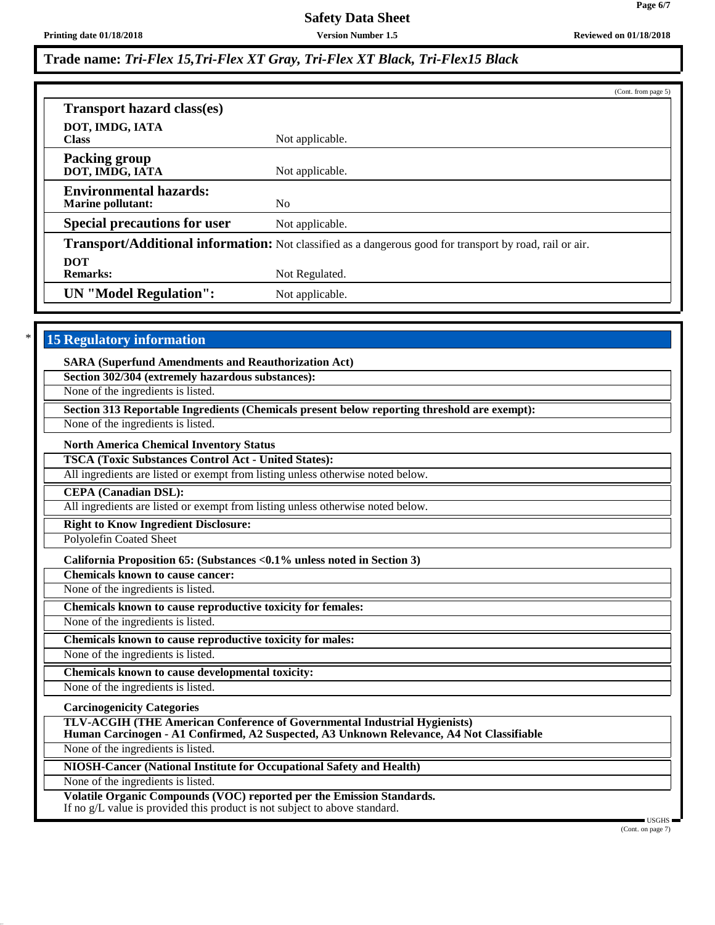**Printing date 01/18/2018 Version Number 1.5 Reviewed on 01/18/2018**

**Page 6/7**

# **Trade name:** *Tri-Flex 15,Tri-Flex XT Gray, Tri-Flex XT Black, Tri-Flex15 Black*

|                                                                                                                 |                 | (Cont. from page 5) |
|-----------------------------------------------------------------------------------------------------------------|-----------------|---------------------|
| <b>Transport hazard class(es)</b>                                                                               |                 |                     |
| DOT, IMDG, IATA<br><b>Class</b>                                                                                 | Not applicable. |                     |
| <b>Packing group</b><br>DOT, IMDG, IATA                                                                         | Not applicable. |                     |
| <b>Environmental hazards:</b><br><b>Marine pollutant:</b>                                                       | N <sub>o</sub>  |                     |
| <b>Special precautions for user</b>                                                                             | Not applicable. |                     |
| <b>Transport/Additional information:</b> Not classified as a dangerous good for transport by road, rail or air. |                 |                     |
| <b>DOT</b><br><b>Remarks:</b>                                                                                   | Not Regulated.  |                     |
| <b>UN</b> "Model Regulation":                                                                                   | Not applicable. |                     |

# **15 Regulatory information**

| <b>SARA (Superfund Amendments and Reauthorization Act)</b>                                                                                                                                 |
|--------------------------------------------------------------------------------------------------------------------------------------------------------------------------------------------|
| Section 302/304 (extremely hazardous substances):                                                                                                                                          |
| None of the ingredients is listed.                                                                                                                                                         |
| Section 313 Reportable Ingredients (Chemicals present below reporting threshold are exempt):                                                                                               |
| None of the ingredients is listed.                                                                                                                                                         |
| <b>North America Chemical Inventory Status</b>                                                                                                                                             |
| <b>TSCA (Toxic Substances Control Act - United States):</b>                                                                                                                                |
| All ingredients are listed or exempt from listing unless otherwise noted below.                                                                                                            |
| <b>CEPA</b> (Canadian DSL):                                                                                                                                                                |
| All ingredients are listed or exempt from listing unless otherwise noted below.                                                                                                            |
| <b>Right to Know Ingredient Disclosure:</b>                                                                                                                                                |
| Polyolefin Coated Sheet                                                                                                                                                                    |
| California Proposition 65: (Substances <0.1% unless noted in Section 3)                                                                                                                    |
| <b>Chemicals known to cause cancer:</b>                                                                                                                                                    |
| None of the ingredients is listed.                                                                                                                                                         |
| Chemicals known to cause reproductive toxicity for females:                                                                                                                                |
| None of the ingredients is listed.                                                                                                                                                         |
| Chemicals known to cause reproductive toxicity for males:                                                                                                                                  |
| None of the ingredients is listed.                                                                                                                                                         |
| Chemicals known to cause developmental toxicity:                                                                                                                                           |
| None of the ingredients is listed.                                                                                                                                                         |
| <b>Carcinogenicity Categories</b>                                                                                                                                                          |
| <b>TLV-ACGIH (THE American Conference of Governmental Industrial Hygienists)</b>                                                                                                           |
| Human Carcinogen - A1 Confirmed, A2 Suspected, A3 Unknown Relevance, A4 Not Classifiable                                                                                                   |
| None of the ingredients is listed.                                                                                                                                                         |
| NIOSH-Cancer (National Institute for Occupational Safety and Health)                                                                                                                       |
| None of the ingredients is listed.                                                                                                                                                         |
| Volatile Organic Compounds (VOC) reported per the Emission Standards.<br>If no g/L value is provided this product is not subject to above standard.<br>$\blacksquare$ USGHS $\blacksquare$ |